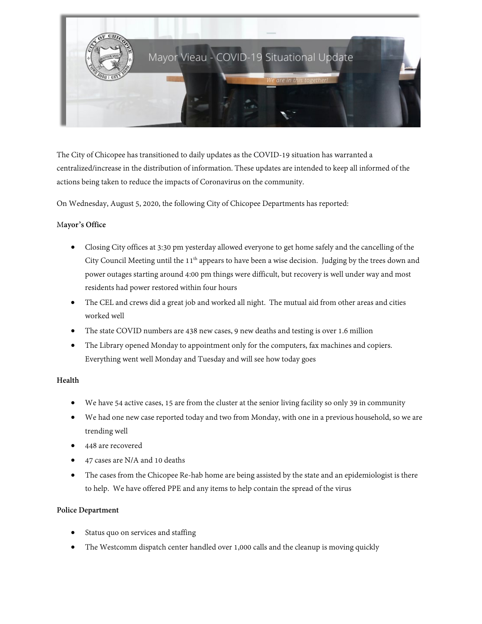

The City of Chicopee has transitioned to daily updates as the COVID-19 situation has warranted a centralized/increase in the distribution of information. These updates are intended to keep all informed of the actions being taken to reduce the impacts of Coronavirus on the community.

On Wednesday, August 5, 2020, the following City of Chicopee Departments has reported:

### M**ayor's Office**

- Closing City offices at 3:30 pm yesterday allowed everyone to get home safely and the cancelling of the City Council Meeting until the 11<sup>th</sup> appears to have been a wise decision. Judging by the trees down and power outages starting around 4:00 pm things were difficult, but recovery is well under way and most residents had power restored within four hours
- The CEL and crews did a great job and worked all night. The mutual aid from other areas and cities worked well
- The state COVID numbers are 438 new cases, 9 new deaths and testing is over 1.6 million
- The Library opened Monday to appointment only for the computers, fax machines and copiers. Everything went well Monday and Tuesday and will see how today goes

#### **Health**

- We have 54 active cases, 15 are from the cluster at the senior living facility so only 39 in community
- We had one new case reported today and two from Monday, with one in a previous household, so we are trending well
- 448 are recovered
- 47 cases are N/A and 10 deaths
- The cases from the Chicopee Re-hab home are being assisted by the state and an epidemiologist is there to help. We have offered PPE and any items to help contain the spread of the virus

#### **Police Department**

- Status quo on services and staffing
- The Westcomm dispatch center handled over 1,000 calls and the cleanup is moving quickly